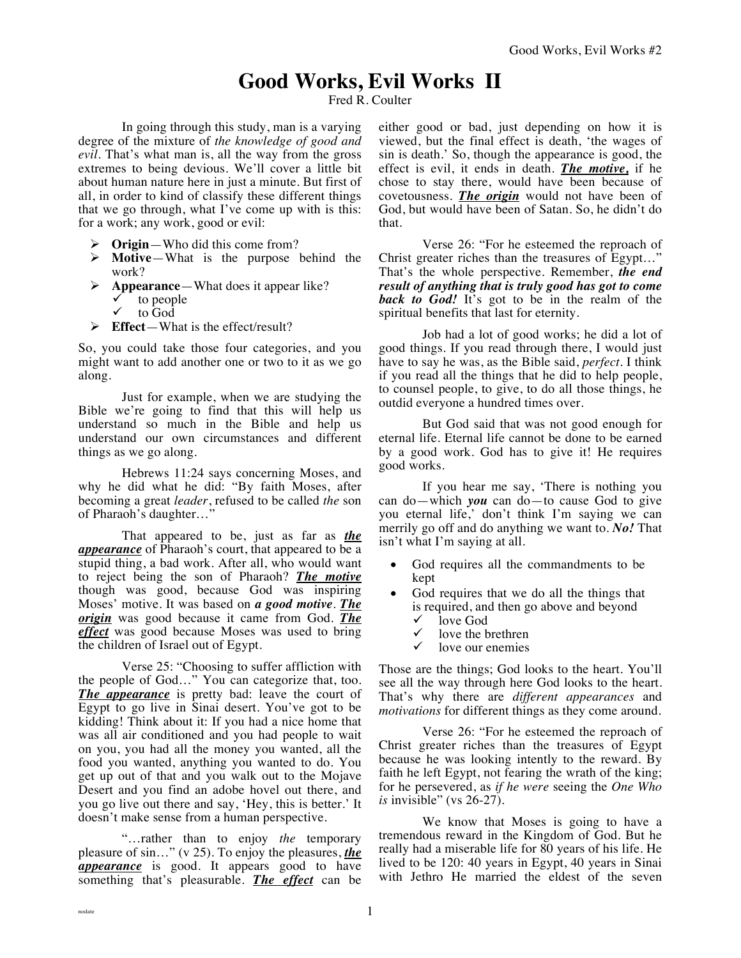# **Good Works, Evil Works II**

Fred R. Coulter

In going through this study, man is a varying degree of the mixture of *the knowledge of good and evil.* That's what man is, all the way from the gross extremes to being devious. We'll cover a little bit about human nature here in just a minute. But first of all, in order to kind of classify these different things that we go through, what I've come up with is this: for a work; any work, good or evil:

- $\triangleright$  **Origin** Who did this come from?
- Ø **Motive**—What is the purpose behind the work?
- Ø **Appearance**—What does it appear like?
	- $\checkmark$  to people<br> $\checkmark$  to God
	- ü to God
- Ø **Effect**—What is the effect/result?

So, you could take those four categories, and you might want to add another one or two to it as we go along.

Just for example, when we are studying the Bible we're going to find that this will help us understand so much in the Bible and help us understand our own circumstances and different things as we go along.

Hebrews 11:24 says concerning Moses, and why he did what he did: "By faith Moses, after becoming a great *leader*, refused to be called *the* son of Pharaoh's daughter…"

That appeared to be, just as far as *the appearance* of Pharaoh's court, that appeared to be a stupid thing, a bad work. After all, who would want to reject being the son of Pharaoh? *The motive* though was good, because God was inspiring Moses' motive. It was based on *a good motive*. *The origin* was good because it came from God. *The effect* was good because Moses was used to bring the children of Israel out of Egypt.

Verse 25: "Choosing to suffer affliction with the people of God…" You can categorize that, too. *The appearance* is pretty bad: leave the court of Egypt to go live in Sinai desert. You've got to be kidding! Think about it: If you had a nice home that was all air conditioned and you had people to wait on you, you had all the money you wanted, all the food you wanted, anything you wanted to do. You get up out of that and you walk out to the Mojave Desert and you find an adobe hovel out there, and you go live out there and say, 'Hey, this is better.' It doesn't make sense from a human perspective.

"…rather than to enjoy *the* temporary pleasure of sin…" (v 25). To enjoy the pleasures, *the appearance* is good. It appears good to have something that's pleasurable. *The effect* can be either good or bad, just depending on how it is viewed, but the final effect is death, 'the wages of sin is death.' So, though the appearance is good, the effect is evil, it ends in death. *The motive,* if he chose to stay there, would have been because of covetousness. *The origin* would not have been of God, but would have been of Satan. So, he didn't do that.

Verse 26: "For he esteemed the reproach of Christ greater riches than the treasures of Egypt…" That's the whole perspective. Remember, *the end result of anything that is truly good has got to come back to God!* It's got to be in the realm of the spiritual benefits that last for eternity.

Job had a lot of good works; he did a lot of good things. If you read through there, I would just have to say he was, as the Bible said, *perfect*. I think if you read all the things that he did to help people, to counsel people, to give, to do all those things, he outdid everyone a hundred times over.

But God said that was not good enough for eternal life. Eternal life cannot be done to be earned by a good work. God has to give it! He requires good works.

If you hear me say, 'There is nothing you can do—which *you* can do—to cause God to give you eternal life,' don't think I'm saying we can merrily go off and do anything we want to. *No!* That isn't what I'm saying at all.

- God requires all the commandments to be kept
- God requires that we do all the things that is required, and then go above and beyond
	- $\checkmark$  love God<br> $\checkmark$  love the h
	- $\checkmark$  love the brethren love our enemies

Those are the things; God looks to the heart. You'll see all the way through here God looks to the heart. That's why there are *different appearances* and *motivations* for different things as they come around.

Verse 26: "For he esteemed the reproach of Christ greater riches than the treasures of Egypt because he was looking intently to the reward. By faith he left Egypt, not fearing the wrath of the king; for he persevered, as *if he were* seeing the *One Who is* invisible" (vs 26-27).

We know that Moses is going to have a tremendous reward in the Kingdom of God. But he really had a miserable life for 80 years of his life. He lived to be 120: 40 years in Egypt, 40 years in Sinai with Jethro He married the eldest of the seven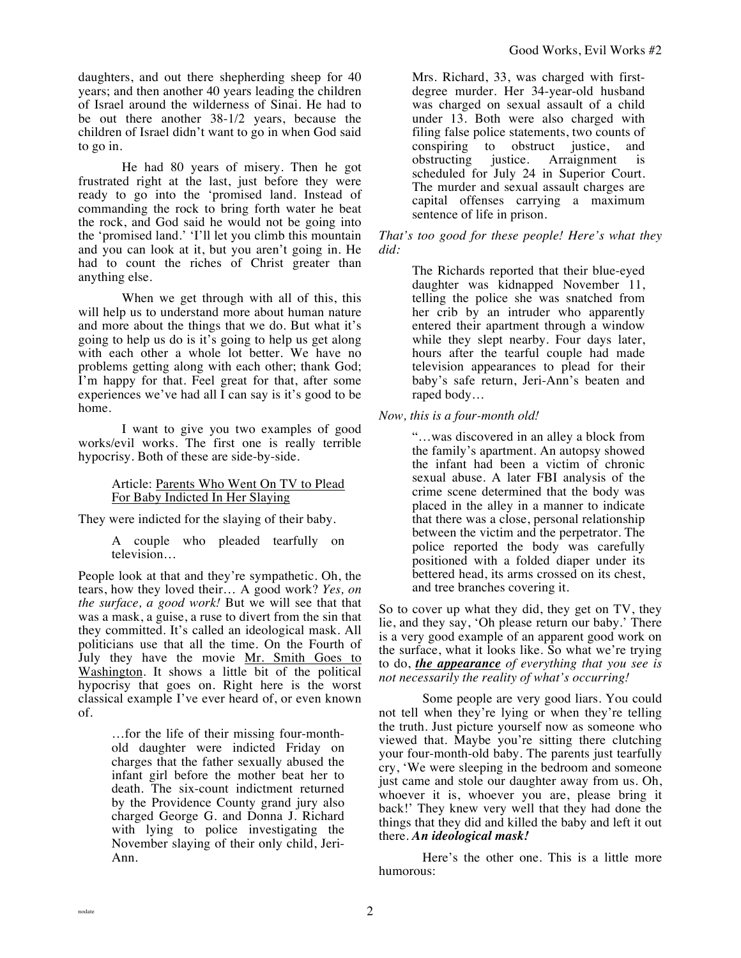daughters, and out there shepherding sheep for 40 years; and then another 40 years leading the children of Israel around the wilderness of Sinai. He had to be out there another 38-1/2 years, because the children of Israel didn't want to go in when God said to go in.

He had 80 years of misery. Then he got frustrated right at the last, just before they were ready to go into the 'promised land. Instead of commanding the rock to bring forth water he beat the rock, and God said he would not be going into the 'promised land.' 'I'll let you climb this mountain and you can look at it, but you aren't going in. He had to count the riches of Christ greater than anything else.

When we get through with all of this, this will help us to understand more about human nature and more about the things that we do. But what it's going to help us do is it's going to help us get along with each other a whole lot better. We have no problems getting along with each other; thank God; I'm happy for that. Feel great for that, after some experiences we've had all I can say is it's good to be home.

I want to give you two examples of good works/evil works. The first one is really terrible hypocrisy. Both of these are side-by-side.

# Article: Parents Who Went On TV to Plead For Baby Indicted In Her Slaying

They were indicted for the slaying of their baby.

A couple who pleaded tearfully on television…

People look at that and they're sympathetic. Oh, the tears, how they loved their… A good work? *Yes, on the surface, a good work!* But we will see that that was a mask, a guise, a ruse to divert from the sin that they committed. It's called an ideological mask. All politicians use that all the time. On the Fourth of July they have the movie Mr. Smith Goes to Washington. It shows a little bit of the political hypocrisy that goes on. Right here is the worst classical example I've ever heard of, or even known of.

> …for the life of their missing four-monthold daughter were indicted Friday on charges that the father sexually abused the infant girl before the mother beat her to death. The six-count indictment returned by the Providence County grand jury also charged George G. and Donna J. Richard with lying to police investigating the November slaying of their only child, Jeri-Ann.

Mrs. Richard, 33, was charged with firstdegree murder. Her 34-year-old husband was charged on sexual assault of a child under 13. Both were also charged with filing false police statements, two counts of conspiring to obstruct justice, and obstructing justice. Arraignment is scheduled for July 24 in Superior Court. The murder and sexual assault charges are capital offenses carrying a maximum sentence of life in prison.

### *That's too good for these people! Here's what they did:*

The Richards reported that their blue-eyed daughter was kidnapped November 11, telling the police she was snatched from her crib by an intruder who apparently entered their apartment through a window while they slept nearby. Four days later, hours after the tearful couple had made television appearances to plead for their baby's safe return, Jeri-Ann's beaten and raped body…

# *Now, this is a four-month old!*

"…was discovered in an alley a block from the family's apartment. An autopsy showed the infant had been a victim of chronic sexual abuse. A later FBI analysis of the crime scene determined that the body was placed in the alley in a manner to indicate that there was a close, personal relationship between the victim and the perpetrator. The police reported the body was carefully positioned with a folded diaper under its bettered head, its arms crossed on its chest, and tree branches covering it.

So to cover up what they did, they get on TV, they lie, and they say, 'Oh please return our baby.' There is a very good example of an apparent good work on the surface, what it looks like. So what we're trying to do, *the appearance of everything that you see is not necessarily the reality of what's occurring!*

Some people are very good liars. You could not tell when they're lying or when they're telling the truth. Just picture yourself now as someone who viewed that. Maybe you're sitting there clutching your four-month-old baby. The parents just tearfully cry, 'We were sleeping in the bedroom and someone just came and stole our daughter away from us. Oh, whoever it is, whoever you are, please bring it back!' They knew very well that they had done the things that they did and killed the baby and left it out there. *An ideological mask!*

Here's the other one. This is a little more humorous: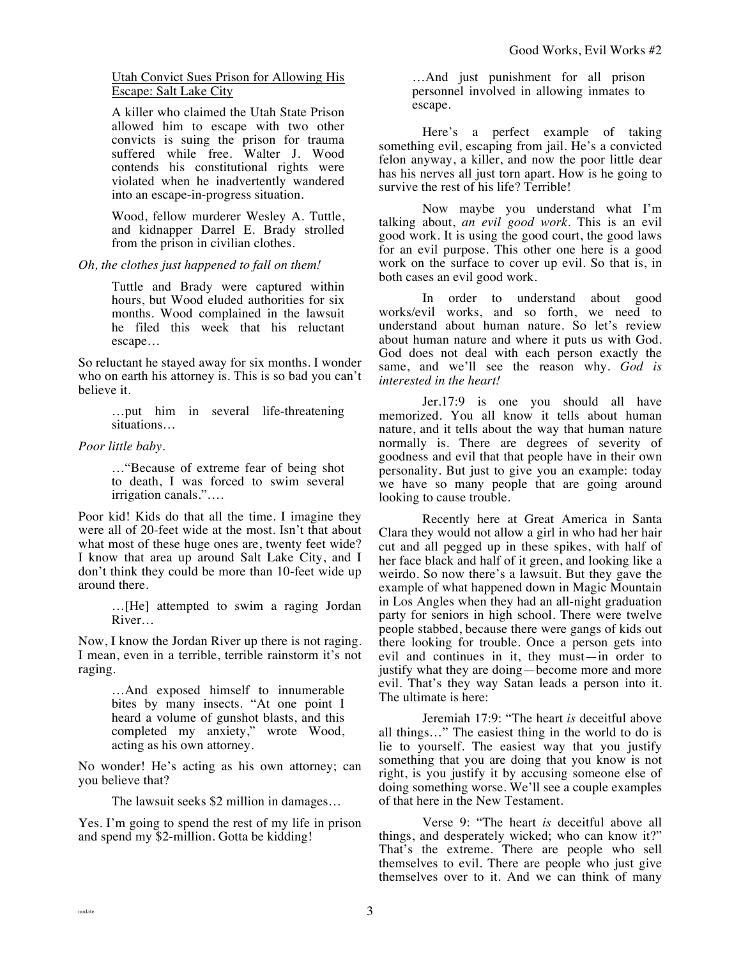# Utah Convict Sues Prison for Allowing His Escape: Salt Lake City

A killer who claimed the Utah State Prison allowed him to escape with two other convicts is suing the prison for trauma suffered while free. Walter J. Wood contends his constitutional rights were violated when he inadvertently wandered into an escape-in-progress situation.

Wood, fellow murderer Wesley A. Tuttle, and kidnapper Darrel E. Brady strolled from the prison in civilian clothes.

### *Oh, the clothes just happened to fall on them!*

Tuttle and Brady were captured within hours, but Wood eluded authorities for six months. Wood complained in the lawsuit he filed this week that his reluctant escape…

So reluctant he stayed away for six months. I wonder who on earth his attorney is. This is so bad you can't believe it.

> …put him in several life-threatening situations…

*Poor little baby.* 

…"Because of extreme fear of being shot to death, I was forced to swim several irrigation canals."….

Poor kid! Kids do that all the time. I imagine they were all of 20-feet wide at the most. Isn't that about what most of these huge ones are, twenty feet wide? I know that area up around Salt Lake City, and I don't think they could be more than 10-feet wide up around there.

> …[He] attempted to swim a raging Jordan River…

Now, I know the Jordan River up there is not raging. I mean, even in a terrible, terrible rainstorm it's not raging.

> …And exposed himself to innumerable bites by many insects. "At one point I heard a volume of gunshot blasts, and this completed my anxiety," wrote Wood, acting as his own attorney.

No wonder! He's acting as his own attorney; can you believe that?

The lawsuit seeks \$2 million in damages…

Yes. I'm going to spend the rest of my life in prison and spend my \$2-million. Gotta be kidding!

…And just punishment for all prison personnel involved in allowing inmates to escape.

Here's a perfect example of taking something evil, escaping from jail. He's a convicted felon anyway, a killer, and now the poor little dear has his nerves all just torn apart. How is he going to survive the rest of his life? Terrible!

Now maybe you understand what I'm talking about, *an evil good work.* This is an evil good work. It is using the good court, the good laws for an evil purpose. This other one here is a good work on the surface to cover up evil. So that is, in both cases an evil good work.

In order to understand about good works/evil works, and so forth, we need to understand about human nature. So let's review about human nature and where it puts us with God. God does not deal with each person exactly the same, and we'll see the reason why. *God is interested in the heart!*

Jer.17:9 is one you should all have memorized. You all know it tells about human nature, and it tells about the way that human nature normally is. There are degrees of severity of goodness and evil that that people have in their own personality. But just to give you an example: today we have so many people that are going around looking to cause trouble.

Recently here at Great America in Santa Clara they would not allow a girl in who had her hair cut and all pegged up in these spikes, with half of her face black and half of it green, and looking like a weirdo. So now there's a lawsuit. But they gave the example of what happened down in Magic Mountain in Los Angles when they had an all-night graduation party for seniors in high school. There were twelve people stabbed, because there were gangs of kids out there looking for trouble. Once a person gets into evil and continues in it, they must—in order to justify what they are doing—become more and more evil. That's they way Satan leads a person into it. The ultimate is here:

Jeremiah 17:9: "The heart *is* deceitful above all things…" The easiest thing in the world to do is lie to yourself. The easiest way that you justify something that you are doing that you know is not right, is you justify it by accusing someone else of doing something worse. We'll see a couple examples of that here in the New Testament.

Verse 9: "The heart *is* deceitful above all things, and desperately wicked; who can know it?" That's the extreme. There are people who sell themselves to evil. There are people who just give themselves over to it. And we can think of many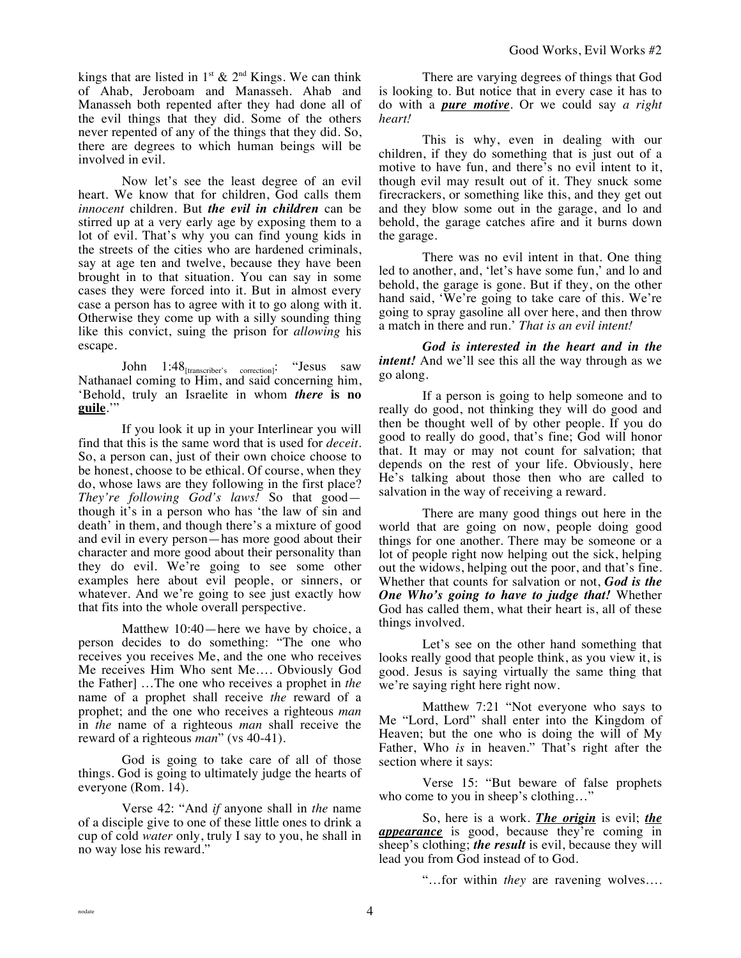kings that are listed in  $1<sup>st</sup>$  &  $2<sup>nd</sup>$  Kings. We can think of Ahab, Jeroboam and Manasseh. Ahab and Manasseh both repented after they had done all of the evil things that they did. Some of the others never repented of any of the things that they did. So, there are degrees to which human beings will be involved in evil.

Now let's see the least degree of an evil heart. We know that for children, God calls them *innocent* children. But *the evil in children* can be stirred up at a very early age by exposing them to a lot of evil. That's why you can find young kids in the streets of the cities who are hardened criminals, say at age ten and twelve, because they have been brought in to that situation. You can say in some cases they were forced into it. But in almost every case a person has to agree with it to go along with it. Otherwise they come up with a silly sounding thing like this convict, suing the prison for *allowing* his escape.

John 1:48<sub>[transcriber's correction]</sub>: "Jesus saw Nathanael coming to Him, and said concerning him, 'Behold, truly an Israelite in whom *there* **is no guile**.'"

If you look it up in your Interlinear you will find that this is the same word that is used for *deceit*. So, a person can, just of their own choice choose to be honest, choose to be ethical. Of course, when they do, whose laws are they following in the first place? *They're following God's laws!* So that good though it's in a person who has 'the law of sin and death' in them, and though there's a mixture of good and evil in every person—has more good about their character and more good about their personality than they do evil. We're going to see some other examples here about evil people, or sinners, or whatever. And we're going to see just exactly how that fits into the whole overall perspective.

Matthew 10:40—here we have by choice, a person decides to do something: "The one who receives you receives Me, and the one who receives Me receives Him Who sent Me…. Obviously God the Father] …The one who receives a prophet in *the* name of a prophet shall receive *the* reward of a prophet; and the one who receives a righteous *man* in *the* name of a righteous *man* shall receive the reward of a righteous *man*" (vs 40-41).

God is going to take care of all of those things. God is going to ultimately judge the hearts of everyone (Rom. 14).

Verse 42: "And *if* anyone shall in *the* name of a disciple give to one of these little ones to drink a cup of cold *water* only, truly I say to you, he shall in no way lose his reward."

There are varying degrees of things that God is looking to. But notice that in every case it has to do with a *pure motive*. Or we could say *a right heart!*

This is why, even in dealing with our children, if they do something that is just out of a motive to have fun, and there's no evil intent to it, though evil may result out of it. They snuck some firecrackers, or something like this, and they get out and they blow some out in the garage, and lo and behold, the garage catches afire and it burns down the garage.

There was no evil intent in that. One thing led to another, and, 'let's have some fun,' and lo and behold, the garage is gone. But if they, on the other hand said, 'We're going to take care of this. We're going to spray gasoline all over here, and then throw a match in there and run.' *That is an evil intent!*

*God is interested in the heart and in the intent!* And we'll see this all the way through as we go along.

If a person is going to help someone and to really do good, not thinking they will do good and then be thought well of by other people. If you do good to really do good, that's fine; God will honor that. It may or may not count for salvation; that depends on the rest of your life. Obviously, here He's talking about those then who are called to salvation in the way of receiving a reward.

There are many good things out here in the world that are going on now, people doing good things for one another. There may be someone or a lot of people right now helping out the sick, helping out the widows, helping out the poor, and that's fine. Whether that counts for salvation or not, *God is the One Who's going to have to judge that!* Whether God has called them, what their heart is, all of these things involved.

Let's see on the other hand something that looks really good that people think, as you view it, is good. Jesus is saying virtually the same thing that we're saying right here right now.

Matthew 7:21 "Not everyone who says to Me "Lord, Lord" shall enter into the Kingdom of Heaven; but the one who is doing the will of My Father, Who *is* in heaven." That's right after the section where it says:

Verse 15: "But beware of false prophets who come to you in sheep's clothing…"

So, here is a work. *The origin* is evil; *the*  **appearance** is good, because they're coming in sheep's clothing; *the result* is evil, because they will lead you from God instead of to God.

"…for within *they* are ravening wolves….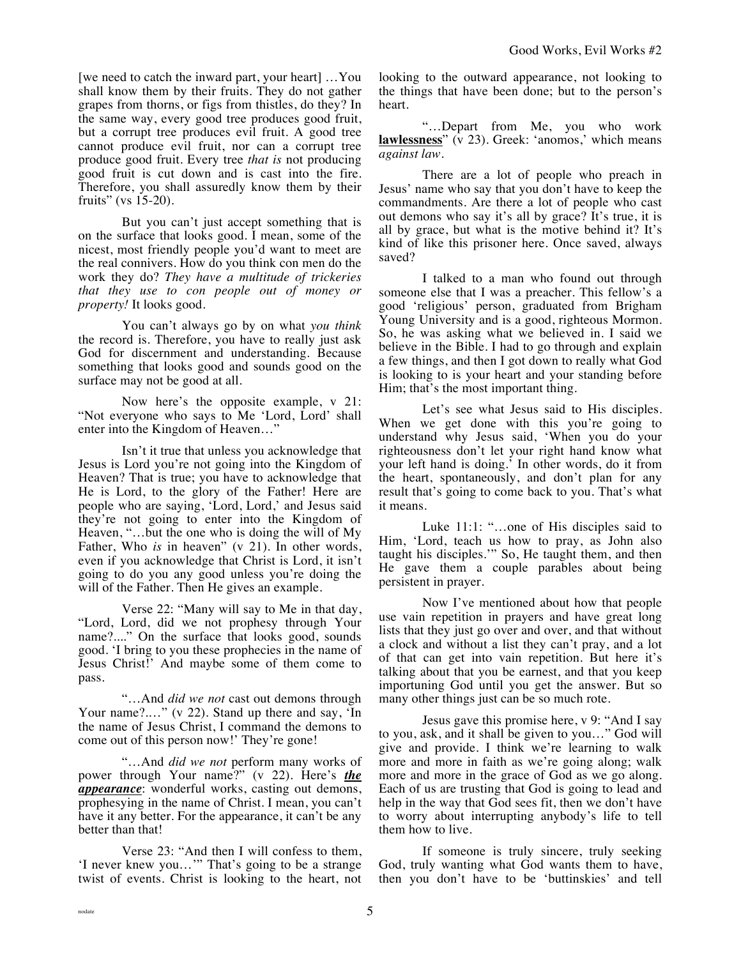[we need to catch the inward part, your heart] …You shall know them by their fruits. They do not gather grapes from thorns, or figs from thistles, do they? In the same way, every good tree produces good fruit, but a corrupt tree produces evil fruit. A good tree cannot produce evil fruit, nor can a corrupt tree produce good fruit. Every tree *that is* not producing good fruit is cut down and is cast into the fire. Therefore, you shall assuredly know them by their fruits" (vs 15-20).

But you can't just accept something that is on the surface that looks good. I mean, some of the nicest, most friendly people you'd want to meet are the real connivers. How do you think con men do the work they do? *They have a multitude of trickeries that they use to con people out of money or property!* It looks good.

You can't always go by on what *you think* the record is. Therefore, you have to really just ask God for discernment and understanding. Because something that looks good and sounds good on the surface may not be good at all.

Now here's the opposite example, v 21: "Not everyone who says to Me 'Lord, Lord' shall enter into the Kingdom of Heaven…"

Isn't it true that unless you acknowledge that Jesus is Lord you're not going into the Kingdom of Heaven? That is true; you have to acknowledge that He is Lord, to the glory of the Father! Here are people who are saying, 'Lord, Lord,' and Jesus said they're not going to enter into the Kingdom of Heaven, "...but the one who is doing the will of My Father, Who *is* in heaven" (v 21). In other words, even if you acknowledge that Christ is Lord, it isn't going to do you any good unless you're doing the will of the Father. Then He gives an example.

Verse 22: "Many will say to Me in that day, "Lord, Lord, did we not prophesy through Your name?...." On the surface that looks good, sounds good. 'I bring to you these prophecies in the name of Jesus Christ!' And maybe some of them come to pass.

"…And *did we not* cast out demons through Your name?...." (v 22). Stand up there and say, 'In the name of Jesus Christ, I command the demons to come out of this person now!' They're gone!

"…And *did we not* perform many works of power through Your name?" (v 22). Here's *the appearance*: wonderful works, casting out demons, prophesying in the name of Christ. I mean, you can't have it any better. For the appearance, it can't be any better than that!

Verse 23: "And then I will confess to them, 'I never knew you…'" That's going to be a strange twist of events. Christ is looking to the heart, not looking to the outward appearance, not looking to the things that have been done; but to the person's heart.

"…Depart from Me, you who work **lawlessness**" (v 23). Greek: 'anomos,' which means *against law*.

There are a lot of people who preach in Jesus' name who say that you don't have to keep the commandments. Are there a lot of people who cast out demons who say it's all by grace? It's true, it is all by grace, but what is the motive behind it? It's kind of like this prisoner here. Once saved, always saved?

I talked to a man who found out through someone else that I was a preacher. This fellow's a good 'religious' person, graduated from Brigham Young University and is a good, righteous Mormon. So, he was asking what we believed in. I said we believe in the Bible. I had to go through and explain a few things, and then I got down to really what God is looking to is your heart and your standing before Him; that's the most important thing.

Let's see what Jesus said to His disciples. When we get done with this you're going to understand why Jesus said, 'When you do your righteousness don't let your right hand know what your left hand is doing.' In other words, do it from the heart, spontaneously, and don't plan for any result that's going to come back to you. That's what it means.

Luke 11:1: "…one of His disciples said to Him, 'Lord, teach us how to pray, as John also taught his disciples.'" So, He taught them, and then He gave them a couple parables about being persistent in prayer.

Now I've mentioned about how that people use vain repetition in prayers and have great long lists that they just go over and over, and that without a clock and without a list they can't pray, and a lot of that can get into vain repetition. But here it's talking about that you be earnest, and that you keep importuning God until you get the answer. But so many other things just can be so much rote.

Jesus gave this promise here, v 9: "And I say to you, ask, and it shall be given to you…" God will give and provide. I think we're learning to walk more and more in faith as we're going along; walk more and more in the grace of God as we go along. Each of us are trusting that God is going to lead and help in the way that God sees fit, then we don't have to worry about interrupting anybody's life to tell them how to live.

If someone is truly sincere, truly seeking God, truly wanting what God wants them to have, then you don't have to be 'buttinskies' and tell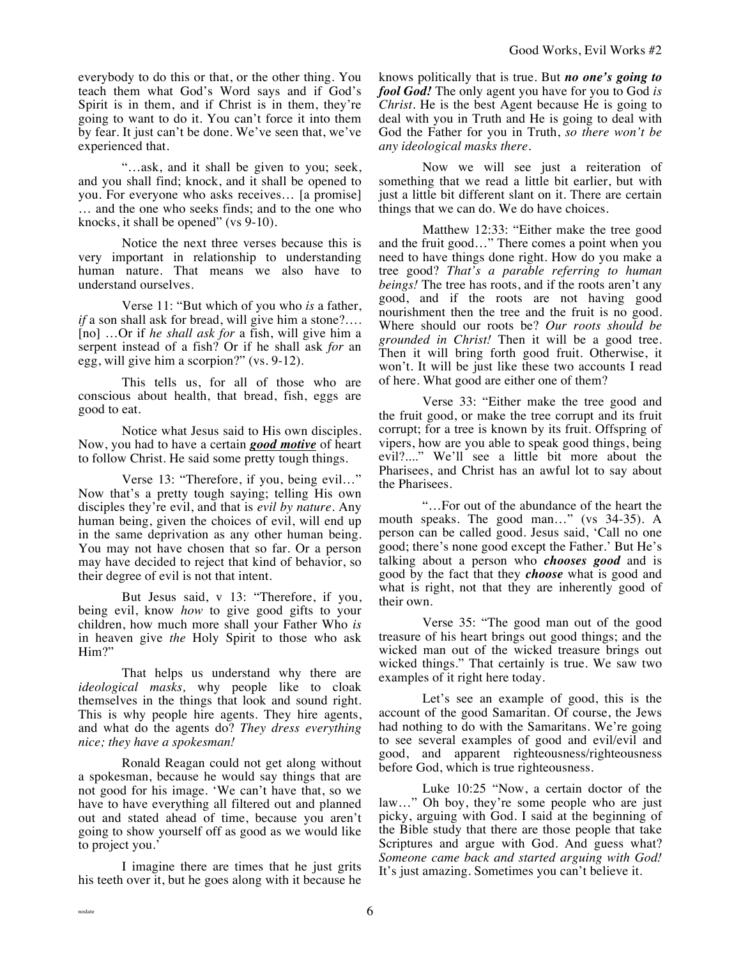everybody to do this or that, or the other thing. You teach them what God's Word says and if God's Spirit is in them, and if Christ is in them, they're going to want to do it. You can't force it into them by fear. It just can't be done. We've seen that, we've experienced that.

"…ask, and it shall be given to you; seek, and you shall find; knock, and it shall be opened to you. For everyone who asks receives… [a promise] … and the one who seeks finds; and to the one who knocks, it shall be opened" (vs 9-10).

Notice the next three verses because this is very important in relationship to understanding human nature. That means we also have to understand ourselves.

Verse 11: "But which of you who *is* a father, *if* a son shall ask for bread, will give him a stone?.... [no] …Or if *he shall ask for* a fish, will give him a serpent instead of a fish? Or if he shall ask *for* an egg, will give him a scorpion?" (vs. 9-12).

This tells us, for all of those who are conscious about health, that bread, fish, eggs are good to eat.

Notice what Jesus said to His own disciples. Now, you had to have a certain *good motive* of heart to follow Christ. He said some pretty tough things.

Verse 13: "Therefore, if you, being evil…" Now that's a pretty tough saying; telling His own disciples they're evil, and that is *evil by nature*. Any human being, given the choices of evil, will end up in the same deprivation as any other human being. You may not have chosen that so far. Or a person may have decided to reject that kind of behavior, so their degree of evil is not that intent.

But Jesus said, v 13: "Therefore, if you, being evil, know *how* to give good gifts to your children, how much more shall your Father Who *is* in heaven give *the* Holy Spirit to those who ask Him?"

That helps us understand why there are *ideological masks,* why people like to cloak themselves in the things that look and sound right. This is why people hire agents. They hire agents, and what do the agents do? *They dress everything nice; they have a spokesman!*

Ronald Reagan could not get along without a spokesman, because he would say things that are not good for his image. 'We can't have that, so we have to have everything all filtered out and planned out and stated ahead of time, because you aren't going to show yourself off as good as we would like to project you.'

I imagine there are times that he just grits his teeth over it, but he goes along with it because he

knows politically that is true. But *no one's going to fool God!* The only agent you have for you to God *is Christ*. He is the best Agent because He is going to deal with you in Truth and He is going to deal with God the Father for you in Truth, *so there won't be any ideological masks there.*

Now we will see just a reiteration of something that we read a little bit earlier, but with just a little bit different slant on it. There are certain things that we can do. We do have choices.

Matthew 12:33: "Either make the tree good and the fruit good…" There comes a point when you need to have things done right. How do you make a tree good? *That's a parable referring to human beings!* The tree has roots, and if the roots aren't any good, and if the roots are not having good nourishment then the tree and the fruit is no good. Where should our roots be? *Our roots should be grounded in Christ!* Then it will be a good tree. Then it will bring forth good fruit. Otherwise, it won't. It will be just like these two accounts I read of here. What good are either one of them?

Verse 33: "Either make the tree good and the fruit good, or make the tree corrupt and its fruit corrupt; for a tree is known by its fruit. Offspring of vipers, how are you able to speak good things, being evil?...." We'll see a little bit more about the Pharisees, and Christ has an awful lot to say about the Pharisees.

"…For out of the abundance of the heart the mouth speaks. The good man…" (vs 34-35). A person can be called good. Jesus said, 'Call no one good; there's none good except the Father.' But He's talking about a person who *chooses good* and is good by the fact that they *choose* what is good and what is right, not that they are inherently good of their own.

Verse 35: "The good man out of the good treasure of his heart brings out good things; and the wicked man out of the wicked treasure brings out wicked things." That certainly is true. We saw two examples of it right here today.

Let's see an example of good, this is the account of the good Samaritan. Of course, the Jews had nothing to do with the Samaritans. We're going to see several examples of good and evil/evil and good, and apparent righteousness/righteousness before God, which is true righteousness.

Luke 10:25 "Now, a certain doctor of the law…" Oh boy, they're some people who are just picky, arguing with God. I said at the beginning of the Bible study that there are those people that take Scriptures and argue with God. And guess what? *Someone came back and started arguing with God!* It's just amazing. Sometimes you can't believe it.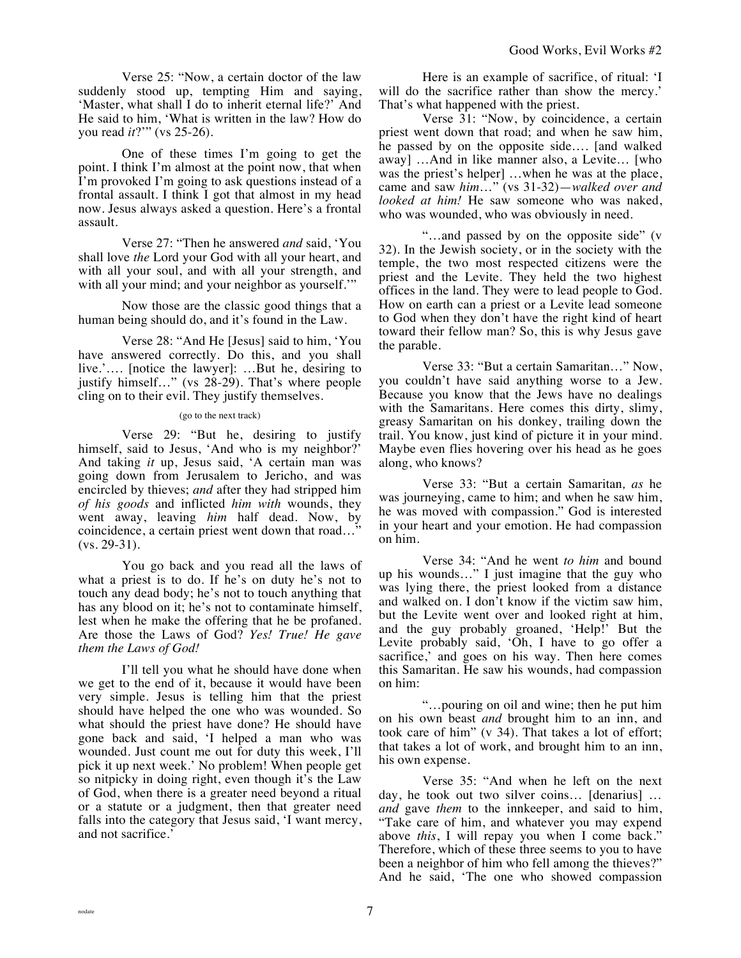Verse 25: "Now, a certain doctor of the law suddenly stood up, tempting Him and saying, 'Master, what shall I do to inherit eternal life?' And He said to him, 'What is written in the law? How do you read *it*?'" (vs 25-26).

One of these times I'm going to get the point. I think I'm almost at the point now, that when I'm provoked I'm going to ask questions instead of a frontal assault. I think I got that almost in my head now. Jesus always asked a question. Here's a frontal assault.

Verse 27: "Then he answered *and* said, 'You shall love *the* Lord your God with all your heart, and with all your soul, and with all your strength, and with all your mind; and your neighbor as yourself."

Now those are the classic good things that a human being should do, and it's found in the Law.

Verse 28: "And He [Jesus] said to him, 'You have answered correctly. Do this, and you shall live.'…. [notice the lawyer]: …But he, desiring to justify himself…" (vs 28-29). That's where people cling on to their evil. They justify themselves.

#### (go to the next track)

Verse 29: "But he, desiring to justify himself, said to Jesus, 'And who is my neighbor?' And taking *it* up, Jesus said, 'A certain man was going down from Jerusalem to Jericho, and was encircled by thieves; *and* after they had stripped him *of his goods* and inflicted *him with* wounds, they went away, leaving *him* half dead. Now, by coincidence, a certain priest went down that road…" (vs. 29-31).

You go back and you read all the laws of what a priest is to do. If he's on duty he's not to touch any dead body; he's not to touch anything that has any blood on it; he's not to contaminate himself, lest when he make the offering that he be profaned. Are those the Laws of God? *Yes! True! He gave them the Laws of God!*

I'll tell you what he should have done when we get to the end of it, because it would have been very simple. Jesus is telling him that the priest should have helped the one who was wounded. So what should the priest have done? He should have gone back and said, 'I helped a man who was wounded. Just count me out for duty this week, I'll pick it up next week.' No problem! When people get so nitpicky in doing right, even though it's the Law of God, when there is a greater need beyond a ritual or a statute or a judgment, then that greater need falls into the category that Jesus said, 'I want mercy, and not sacrifice.'

Here is an example of sacrifice, of ritual: 'I will do the sacrifice rather than show the mercy.' That's what happened with the priest.

Verse 31: "Now, by coincidence, a certain priest went down that road; and when he saw him, he passed by on the opposite side…. [and walked away] …And in like manner also, a Levite… [who was the priest's helper] …when he was at the place, came and saw *him*…" (vs 31-32)—*walked over and looked at him!* He saw someone who was naked, who was wounded, who was obviously in need.

"…and passed by on the opposite side" (v 32). In the Jewish society, or in the society with the temple, the two most respected citizens were the priest and the Levite. They held the two highest offices in the land. They were to lead people to God. How on earth can a priest or a Levite lead someone to God when they don't have the right kind of heart toward their fellow man? So, this is why Jesus gave the parable.

Verse 33: "But a certain Samaritan…" Now, you couldn't have said anything worse to a Jew. Because you know that the Jews have no dealings with the Samaritans. Here comes this dirty, slimy, greasy Samaritan on his donkey, trailing down the trail. You know, just kind of picture it in your mind. Maybe even flies hovering over his head as he goes along, who knows?

Verse 33: "But a certain Samaritan*, as* he was journeying, came to him; and when he saw him, he was moved with compassion." God is interested in your heart and your emotion. He had compassion on him.

Verse 34: "And he went *to him* and bound up his wounds…" I just imagine that the guy who was lying there, the priest looked from a distance and walked on. I don't know if the victim saw him, but the Levite went over and looked right at him, and the guy probably groaned, 'Help!' But the Levite probably said, 'Oh, I have to go offer a sacrifice,' and goes on his way. Then here comes this Samaritan. He saw his wounds, had compassion on him:

"…pouring on oil and wine; then he put him on his own beast *and* brought him to an inn, and took care of him" (v 34). That takes a lot of effort; that takes a lot of work, and brought him to an inn, his own expense.

Verse 35: "And when he left on the next day, he took out two silver coins… [denarius] … *and* gave *them* to the innkeeper, and said to him, "Take care of him, and whatever you may expend above *this*, I will repay you when I come back." Therefore, which of these three seems to you to have been a neighbor of him who fell among the thieves?" And he said, 'The one who showed compassion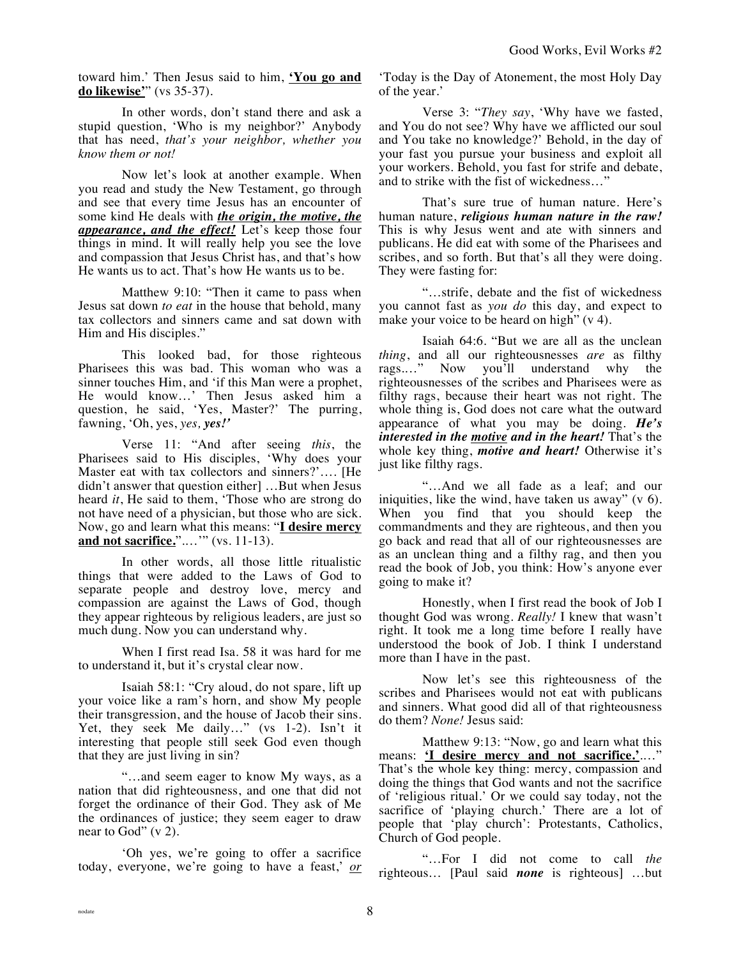toward him.' Then Jesus said to him, **'You go and do likewise'**" (vs 35-37).

In other words, don't stand there and ask a stupid question, 'Who is my neighbor?' Anybody that has need, *that's your neighbor, whether you know them or not!*

Now let's look at another example. When you read and study the New Testament, go through and see that every time Jesus has an encounter of some kind He deals with *the origin, the motive, the appearance, and the effect!* Let's keep those four things in mind. It will really help you see the love and compassion that Jesus Christ has, and that's how He wants us to act. That's how He wants us to be.

Matthew 9:10: "Then it came to pass when Jesus sat down *to eat* in the house that behold, many tax collectors and sinners came and sat down with Him and His disciples."

This looked bad, for those righteous Pharisees this was bad. This woman who was a sinner touches Him, and 'if this Man were a prophet, He would know…' Then Jesus asked him a question, he said, 'Yes, Master?' The purring, fawning, 'Oh, yes, *yes, yes!'*

Verse 11: "And after seeing *this*, the Pharisees said to His disciples, 'Why does your Master eat with tax collectors and sinners?'…. [He didn't answer that question either] …But when Jesus heard *it*, He said to them, 'Those who are strong do not have need of a physician, but those who are sick. Now, go and learn what this means: "**I desire mercy and not sacrifice.**"...." (vs. 11-13).

In other words, all those little ritualistic things that were added to the Laws of God to separate people and destroy love, mercy and compassion are against the Laws of God, though they appear righteous by religious leaders, are just so much dung. Now you can understand why.

When I first read Isa. 58 it was hard for me to understand it, but it's crystal clear now.

Isaiah 58:1: "Cry aloud, do not spare, lift up your voice like a ram's horn, and show My people their transgression, and the house of Jacob their sins. Yet, they seek Me daily…" (vs 1-2). Isn't it interesting that people still seek God even though that they are just living in sin?

"…and seem eager to know My ways, as a nation that did righteousness, and one that did not forget the ordinance of their God. They ask of Me the ordinances of justice; they seem eager to draw near to God" (v 2).

'Oh yes, we're going to offer a sacrifice today, everyone, we're going to have a feast,' *or* 'Today is the Day of Atonement, the most Holy Day of the year.'

Verse 3: "*They say*, 'Why have we fasted, and You do not see? Why have we afflicted our soul and You take no knowledge?' Behold, in the day of your fast you pursue your business and exploit all your workers. Behold, you fast for strife and debate, and to strike with the fist of wickedness…"

That's sure true of human nature. Here's human nature, *religious human nature in the raw!* This is why Jesus went and ate with sinners and publicans. He did eat with some of the Pharisees and scribes, and so forth. But that's all they were doing. They were fasting for:

"…strife, debate and the fist of wickedness you cannot fast as *you do* this day, and expect to make your voice to be heard on high" (v 4).

Isaiah 64:6. "But we are all as the unclean *thing*, and all our righteousnesses *are* as filthy rags.…" Now you'll understand why the righteousnesses of the scribes and Pharisees were as filthy rags, because their heart was not right. The whole thing is, God does not care what the outward appearance of what you may be doing. *He's interested in the motive and in the heart!* That's the whole key thing, *motive and heart!* Otherwise it's just like filthy rags.

"…And we all fade as a leaf; and our iniquities, like the wind, have taken us away" (v 6). When you find that you should keep the commandments and they are righteous, and then you go back and read that all of our righteousnesses are as an unclean thing and a filthy rag, and then you read the book of Job, you think: How's anyone ever going to make it?

Honestly, when I first read the book of Job I thought God was wrong. *Really!* I knew that wasn't right. It took me a long time before I really have understood the book of Job. I think I understand more than I have in the past.

Now let's see this righteousness of the scribes and Pharisees would not eat with publicans and sinners. What good did all of that righteousness do them? *None!* Jesus said:

Matthew 9:13: "Now, go and learn what this means: **'I desire mercy and not sacrifice.'**.…" That's the whole key thing: mercy, compassion and doing the things that God wants and not the sacrifice of 'religious ritual.' Or we could say today, not the sacrifice of 'playing church.' There are a lot of people that 'play church': Protestants, Catholics, Church of God people.

"…For I did not come to call *the* righteous… [Paul said *none* is righteous] …but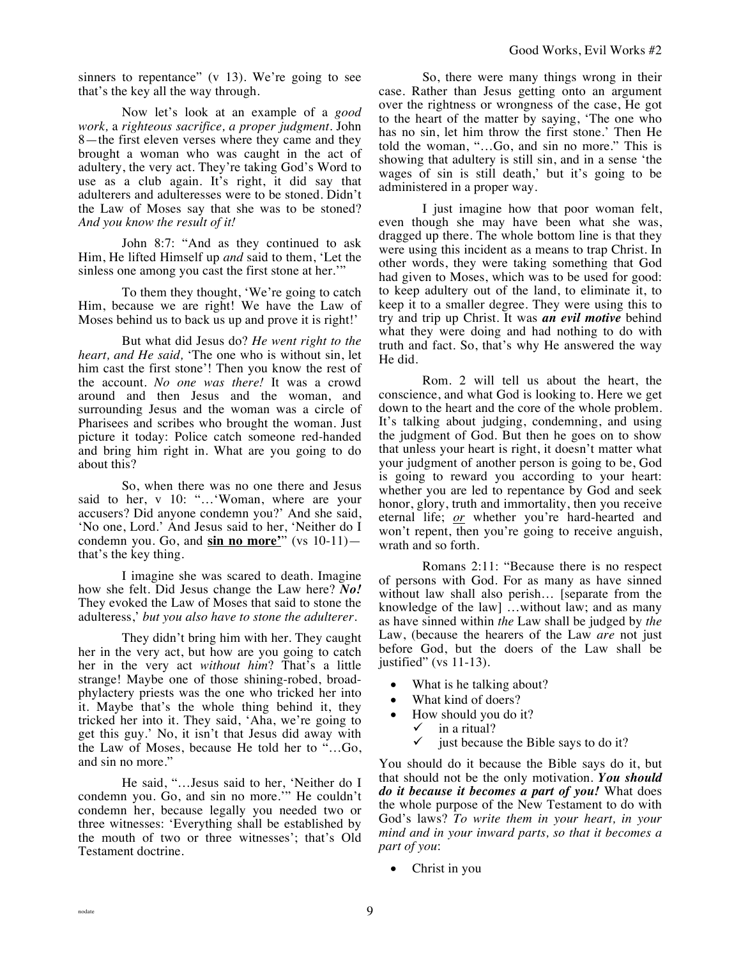sinners to repentance"  $(v 13)$ . We're going to see that's the key all the way through.

Now let's look at an example of a *good work,* a *righteous sacrifice, a proper judgment.* John 8—the first eleven verses where they came and they brought a woman who was caught in the act of adultery, the very act. They're taking God's Word to use as a club again. It's right, it did say that adulterers and adulteresses were to be stoned. Didn't the Law of Moses say that she was to be stoned? *And you know the result of it!* 

John 8:7: "And as they continued to ask Him, He lifted Himself up *and* said to them, 'Let the sinless one among you cast the first stone at her."

To them they thought, 'We're going to catch Him, because we are right! We have the Law of Moses behind us to back us up and prove it is right!'

But what did Jesus do? *He went right to the heart, and He said,* 'The one who is without sin, let him cast the first stone'! Then you know the rest of the account. *No one was there!* It was a crowd around and then Jesus and the woman, and surrounding Jesus and the woman was a circle of Pharisees and scribes who brought the woman. Just picture it today: Police catch someone red-handed and bring him right in. What are you going to do about this?

So, when there was no one there and Jesus said to her, v 10: "... 'Woman, where are your accusers? Did anyone condemn you?' And she said, 'No one, Lord.' And Jesus said to her, 'Neither do I condemn you. Go, and **sin no more'**" (vs 10-11) that's the key thing.

I imagine she was scared to death. Imagine how she felt. Did Jesus change the Law here? *No!* They evoked the Law of Moses that said to stone the adulteress,' *but you also have to stone the adulterer*.

They didn't bring him with her. They caught her in the very act, but how are you going to catch her in the very act *without him*? That's a little strange! Maybe one of those shining-robed, broadphylactery priests was the one who tricked her into it. Maybe that's the whole thing behind it, they tricked her into it. They said, 'Aha, we're going to get this guy.' No, it isn't that Jesus did away with the Law of Moses, because He told her to "…Go, and sin no more."

He said, "…Jesus said to her, 'Neither do I condemn you. Go, and sin no more.'" He couldn't condemn her, because legally you needed two or three witnesses: 'Everything shall be established by the mouth of two or three witnesses'; that's Old Testament doctrine.

So, there were many things wrong in their case. Rather than Jesus getting onto an argument over the rightness or wrongness of the case, He got to the heart of the matter by saying, 'The one who has no sin, let him throw the first stone.' Then He told the woman, "…Go, and sin no more." This is showing that adultery is still sin, and in a sense 'the wages of sin is still death,' but it's going to be administered in a proper way.

I just imagine how that poor woman felt, even though she may have been what she was, dragged up there. The whole bottom line is that they were using this incident as a means to trap Christ. In other words, they were taking something that God had given to Moses, which was to be used for good: to keep adultery out of the land, to eliminate it, to keep it to a smaller degree. They were using this to try and trip up Christ. It was *an evil motive* behind what they were doing and had nothing to do with truth and fact. So, that's why He answered the way He did.

Rom. 2 will tell us about the heart, the conscience, and what God is looking to. Here we get down to the heart and the core of the whole problem. It's talking about judging, condemning, and using the judgment of God. But then he goes on to show that unless your heart is right, it doesn't matter what your judgment of another person is going to be, God is going to reward you according to your heart: whether you are led to repentance by God and seek honor, glory, truth and immortality, then you receive eternal life; *or* whether you're hard-hearted and won't repent, then you're going to receive anguish, wrath and so forth.

Romans 2:11: "Because there is no respect of persons with God. For as many as have sinned without law shall also perish... [separate from the knowledge of the law] …without law; and as many as have sinned within *the* Law shall be judged by *the* Law, (because the hearers of the Law *are* not just before God, but the doers of the Law shall be justified" (vs 11-13).

- What is he talking about?
- What kind of doers?
- How should you do it?
	- $\checkmark$  in a ritual?
	- $\checkmark$  just because the Bible says to do it?

You should do it because the Bible says do it, but that should not be the only motivation. *You should do it because it becomes a part of you!* What does the whole purpose of the New Testament to do with God's laws? *To write them in your heart, in your mind and in your inward parts, so that it becomes a part of you*:

• Christ in you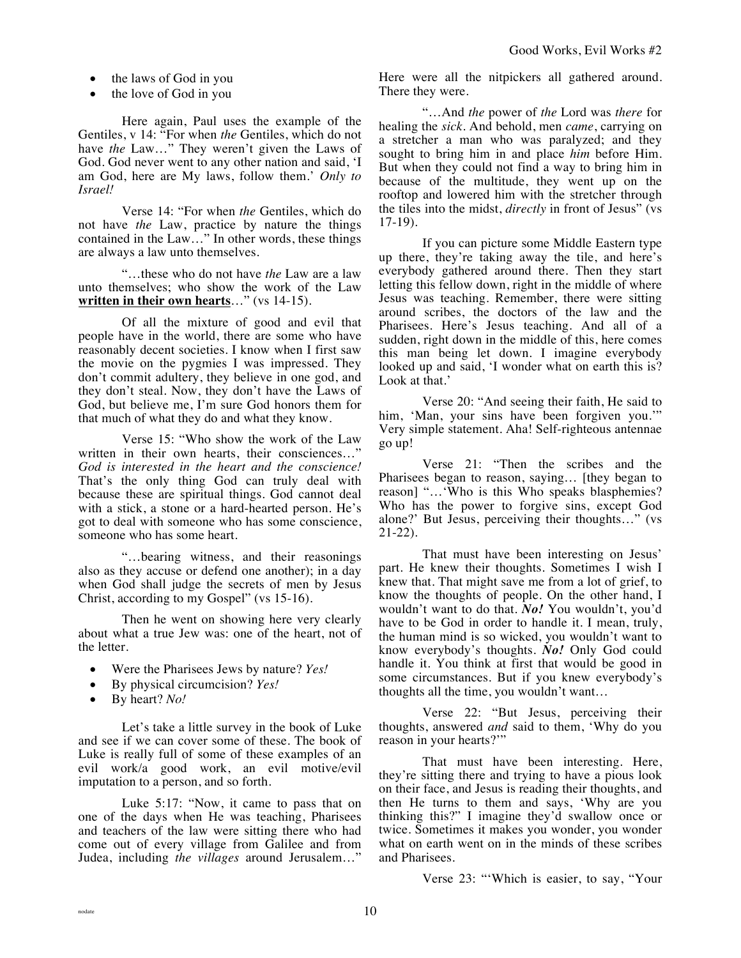- the laws of God in you
- the love of God in you

Here again, Paul uses the example of the Gentiles, v 14: "For when *the* Gentiles, which do not have *the* Law…" They weren't given the Laws of God. God never went to any other nation and said, 'I am God, here are My laws, follow them.' *Only to Israel!*

Verse 14: "For when *the* Gentiles, which do not have *the* Law, practice by nature the things contained in the Law…" In other words, these things are always a law unto themselves.

"…these who do not have *the* Law are a law unto themselves; who show the work of the Law **written in their own hearts**…" (vs 14-15).

Of all the mixture of good and evil that people have in the world, there are some who have reasonably decent societies. I know when I first saw the movie on the pygmies I was impressed. They don't commit adultery, they believe in one god, and they don't steal. Now, they don't have the Laws of God, but believe me, I'm sure God honors them for that much of what they do and what they know.

Verse 15: "Who show the work of the Law written in their own hearts, their consciences…" *God is interested in the heart and the conscience!*  That's the only thing God can truly deal with because these are spiritual things. God cannot deal with a stick, a stone or a hard-hearted person. He's got to deal with someone who has some conscience, someone who has some heart.

"…bearing witness, and their reasonings also as they accuse or defend one another); in a day when God shall judge the secrets of men by Jesus Christ, according to my Gospel" (vs 15-16).

Then he went on showing here very clearly about what a true Jew was: one of the heart, not of the letter.

- Were the Pharisees Jews by nature? *Yes!*
- By physical circumcision? *Yes!*
- By heart? *No!*

Let's take a little survey in the book of Luke and see if we can cover some of these. The book of Luke is really full of some of these examples of an evil work/a good work, an evil motive/evil imputation to a person, and so forth.

Luke 5:17: "Now, it came to pass that on one of the days when He was teaching, Pharisees and teachers of the law were sitting there who had come out of every village from Galilee and from Judea, including *the villages* around Jerusalem…"

Here were all the nitpickers all gathered around. There they were.

"…And *the* power of *the* Lord was *there* for healing the *sick*. And behold, men *came*, carrying on a stretcher a man who was paralyzed; and they sought to bring him in and place *him* before Him. But when they could not find a way to bring him in because of the multitude, they went up on the rooftop and lowered him with the stretcher through the tiles into the midst, *directly* in front of Jesus" (vs 17-19).

If you can picture some Middle Eastern type up there, they're taking away the tile, and here's everybody gathered around there. Then they start letting this fellow down, right in the middle of where Jesus was teaching. Remember, there were sitting around scribes, the doctors of the law and the Pharisees. Here's Jesus teaching. And all of a sudden, right down in the middle of this, here comes this man being let down. I imagine everybody looked up and said, 'I wonder what on earth this is? Look at that.'

Verse 20: "And seeing their faith, He said to him, 'Man, your sins have been forgiven you.'" Very simple statement. Aha! Self-righteous antennae go up!

Verse 21: "Then the scribes and the Pharisees began to reason, saying… [they began to reason] "…'Who is this Who speaks blasphemies? Who has the power to forgive sins, except God alone?' But Jesus, perceiving their thoughts…" (vs 21-22).

That must have been interesting on Jesus' part. He knew their thoughts. Sometimes I wish I knew that. That might save me from a lot of grief, to know the thoughts of people. On the other hand, I wouldn't want to do that. *No!* You wouldn't, you'd have to be God in order to handle it. I mean, truly, the human mind is so wicked, you wouldn't want to know everybody's thoughts. *No!* Only God could handle it. You think at first that would be good in some circumstances. But if you knew everybody's thoughts all the time, you wouldn't want…

Verse 22: "But Jesus, perceiving their thoughts, answered *and* said to them, 'Why do you reason in your hearts?'"

That must have been interesting. Here, they're sitting there and trying to have a pious look on their face, and Jesus is reading their thoughts, and then He turns to them and says, 'Why are you thinking this?" I imagine they'd swallow once or twice. Sometimes it makes you wonder, you wonder what on earth went on in the minds of these scribes and Pharisees.

Verse 23: "'Which is easier, to say, "Your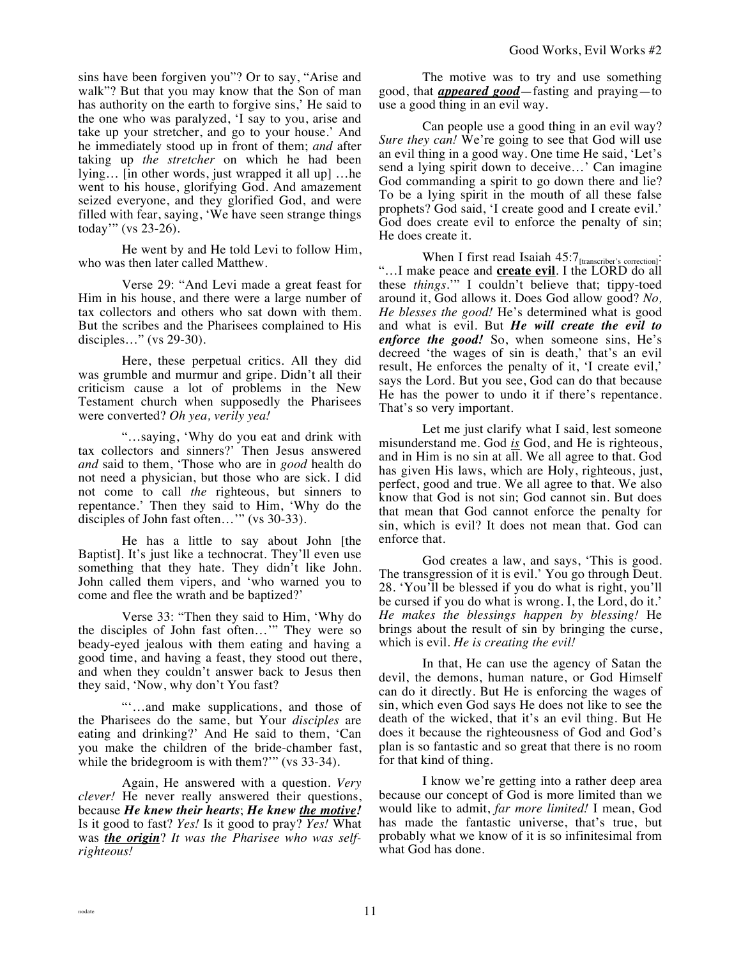sins have been forgiven you"? Or to say, "Arise and walk"? But that you may know that the Son of man has authority on the earth to forgive sins,' He said to the one who was paralyzed, 'I say to you, arise and take up your stretcher, and go to your house.' And he immediately stood up in front of them; *and* after taking up *the stretcher* on which he had been lying… [in other words, just wrapped it all up] …he went to his house, glorifying God. And amazement seized everyone, and they glorified God, and were filled with fear, saying, 'We have seen strange things today'" (vs 23-26).

He went by and He told Levi to follow Him, who was then later called Matthew.

Verse 29: "And Levi made a great feast for Him in his house, and there were a large number of tax collectors and others who sat down with them. But the scribes and the Pharisees complained to His disciples…" (vs 29-30).

Here, these perpetual critics. All they did was grumble and murmur and gripe. Didn't all their criticism cause a lot of problems in the New Testament church when supposedly the Pharisees were converted? *Oh yea, verily yea!*

"…saying, 'Why do you eat and drink with tax collectors and sinners?' Then Jesus answered *and* said to them, 'Those who are in *good* health do not need a physician, but those who are sick. I did not come to call *the* righteous, but sinners to repentance.' Then they said to Him, 'Why do the disciples of John fast often…'" (vs 30-33).

He has a little to say about John [the Baptist]. It's just like a technocrat. They'll even use something that they hate. They didn't like John. John called them vipers, and 'who warned you to come and flee the wrath and be baptized?'

Verse 33: "Then they said to Him, 'Why do the disciples of John fast often…'" They were so beady-eyed jealous with them eating and having a good time, and having a feast, they stood out there, and when they couldn't answer back to Jesus then they said, 'Now, why don't You fast?

"'…and make supplications, and those of the Pharisees do the same, but Your *disciples* are eating and drinking?' And He said to them, 'Can you make the children of the bride-chamber fast, while the bridegroom is with them?"" (vs 33-34).

Again, He answered with a question. *Very clever!* He never really answered their questions, because *He knew their hearts*; *He knew the motive!* Is it good to fast? *Yes!* Is it good to pray? *Yes!* What was *the origin*? *It was the Pharisee who was selfrighteous!*

The motive was to try and use something good, that *appeared good*—fasting and praying—to use a good thing in an evil way.

Can people use a good thing in an evil way? *Sure they can!* We're going to see that God will use an evil thing in a good way. One time He said, 'Let's send a lying spirit down to deceive…' Can imagine God commanding a spirit to go down there and lie? To be a lying spirit in the mouth of all these false prophets? God said, 'I create good and I create evil.' God does create evil to enforce the penalty of sin; He does create it.

When I first read Isaiah 45:7<sub>[transcriber's correction]</sub>: "…I make peace and **create evil**. I the LORD do all these *things*.'" I couldn't believe that; tippy-toed around it, God allows it. Does God allow good? *No, He blesses the good!* He's determined what is good and what is evil. But *He will create the evil to enforce the good!* So, when someone sins, He's decreed 'the wages of sin is death,' that's an evil result, He enforces the penalty of it, 'I create evil,' says the Lord. But you see, God can do that because He has the power to undo it if there's repentance. That's so very important.

Let me just clarify what I said, lest someone misunderstand me. God *is* God, and He is righteous, and in Him is no sin at all. We all agree to that. God has given His laws, which are Holy, righteous, just, perfect, good and true. We all agree to that. We also know that God is not sin; God cannot sin. But does that mean that God cannot enforce the penalty for sin, which is evil? It does not mean that. God can enforce that.

God creates a law, and says, 'This is good. The transgression of it is evil.' You go through Deut. 28. 'You'll be blessed if you do what is right, you'll be cursed if you do what is wrong. I, the Lord, do it.' *He makes the blessings happen by blessing!* He brings about the result of sin by bringing the curse, which is evil. *He is creating the evil!*

In that, He can use the agency of Satan the devil, the demons, human nature, or God Himself can do it directly. But He is enforcing the wages of sin, which even God says He does not like to see the death of the wicked, that it's an evil thing. But He does it because the righteousness of God and God's plan is so fantastic and so great that there is no room for that kind of thing.

I know we're getting into a rather deep area because our concept of God is more limited than we would like to admit, *far more limited!* I mean, God has made the fantastic universe, that's true, but probably what we know of it is so infinitesimal from what God has done.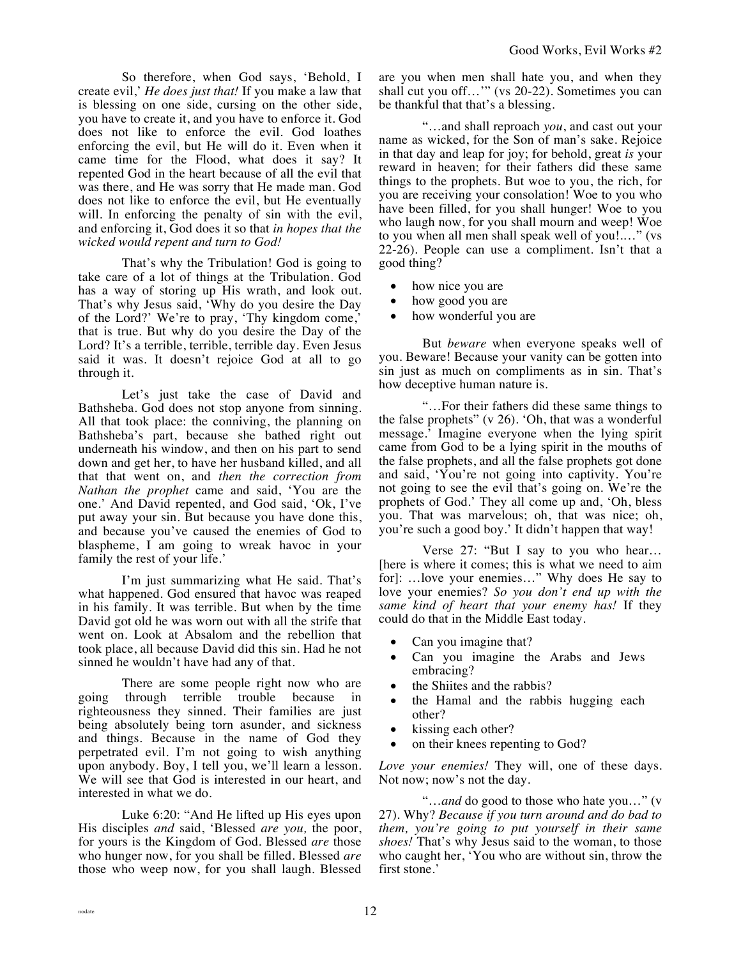So therefore, when God says, 'Behold, I create evil,' *He does just that!* If you make a law that is blessing on one side, cursing on the other side, you have to create it, and you have to enforce it. God does not like to enforce the evil. God loathes enforcing the evil, but He will do it. Even when it came time for the Flood, what does it say? It repented God in the heart because of all the evil that was there, and He was sorry that He made man. God does not like to enforce the evil, but He eventually will. In enforcing the penalty of sin with the evil, and enforcing it, God does it so that *in hopes that the wicked would repent and turn to God!*

That's why the Tribulation! God is going to take care of a lot of things at the Tribulation. God has a way of storing up His wrath, and look out. That's why Jesus said, 'Why do you desire the Day of the Lord?' We're to pray, 'Thy kingdom come,' that is true. But why do you desire the Day of the Lord? It's a terrible, terrible, terrible day. Even Jesus said it was. It doesn't rejoice God at all to go through it.

Let's just take the case of David and Bathsheba. God does not stop anyone from sinning. All that took place: the conniving, the planning on Bathsheba's part, because she bathed right out underneath his window, and then on his part to send down and get her, to have her husband killed, and all that that went on, and *then the correction from Nathan the prophet* came and said, 'You are the one.' And David repented, and God said, 'Ok, I've put away your sin. But because you have done this, and because you've caused the enemies of God to blaspheme, I am going to wreak havoc in your family the rest of your life.'

I'm just summarizing what He said. That's what happened. God ensured that havoc was reaped in his family. It was terrible. But when by the time David got old he was worn out with all the strife that went on. Look at Absalom and the rebellion that took place, all because David did this sin. Had he not sinned he wouldn't have had any of that.

There are some people right now who are going through terrible trouble because in righteousness they sinned. Their families are just being absolutely being torn asunder, and sickness and things. Because in the name of God they perpetrated evil. I'm not going to wish anything upon anybody. Boy, I tell you, we'll learn a lesson. We will see that God is interested in our heart, and interested in what we do.

Luke 6:20: "And He lifted up His eyes upon His disciples *and* said, 'Blessed *are you,* the poor, for yours is the Kingdom of God. Blessed *are* those who hunger now, for you shall be filled. Blessed *are* those who weep now, for you shall laugh. Blessed are you when men shall hate you, and when they shall cut you off…'" (vs 20-22). Sometimes you can be thankful that that's a blessing.

"…and shall reproach *you*, and cast out your name as wicked, for the Son of man's sake. Rejoice in that day and leap for joy; for behold, great *is* your reward in heaven; for their fathers did these same things to the prophets. But woe to you, the rich, for you are receiving your consolation! Woe to you who have been filled, for you shall hunger! Woe to you who laugh now, for you shall mourn and weep! Woe to you when all men shall speak well of you!.…" (vs 22-26). People can use a compliment. Isn't that a good thing?

- how nice you are
- how good you are
- how wonderful you are

But *beware* when everyone speaks well of you. Beware! Because your vanity can be gotten into sin just as much on compliments as in sin. That's how deceptive human nature is.

"…For their fathers did these same things to the false prophets" (v 26). 'Oh, that was a wonderful message.' Imagine everyone when the lying spirit came from God to be a lying spirit in the mouths of the false prophets, and all the false prophets got done and said, 'You're not going into captivity. You're not going to see the evil that's going on. We're the prophets of God.' They all come up and, 'Oh, bless you. That was marvelous; oh, that was nice; oh, you're such a good boy.' It didn't happen that way!

Verse 27: "But I say to you who hear… [here is where it comes; this is what we need to aim for]: …love your enemies…" Why does He say to love your enemies? *So you don't end up with the same kind of heart that your enemy has!* If they could do that in the Middle East today.

- Can you imagine that?
- Can you imagine the Arabs and Jews embracing?
- the Shiites and the rabbis?
- the Hamal and the rabbis hugging each other?
- kissing each other?
- on their knees repenting to God?

*Love your enemies!* They will, one of these days. Not now; now's not the day.

"…*and* do good to those who hate you…" (v 27). Why? *Because if you turn around and do bad to them, you're going to put yourself in their same shoes!* That's why Jesus said to the woman, to those who caught her, 'You who are without sin, throw the first stone.'